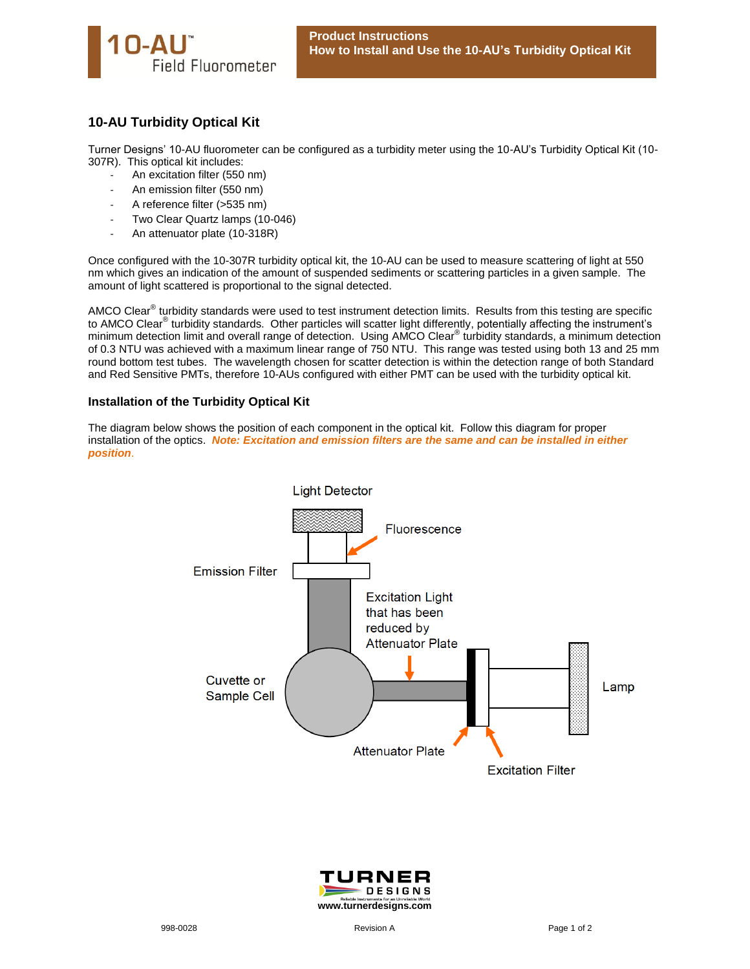

## **10-AU Turbidity Optical Kit**

Turner Designs' 10-AU fluorometer can be configured as a turbidity meter using the 10-AU's Turbidity Optical Kit (10- 307R). This optical kit includes:

- An excitation filter (550 nm)
- An emission filter (550 nm)
- A reference filter (>535 nm)
- Two Clear Quartz lamps (10-046)
- An attenuator plate (10-318R)

Once configured with the 10-307R turbidity optical kit, the 10-AU can be used to measure scattering of light at 550 nm which gives an indication of the amount of suspended sediments or scattering particles in a given sample. The amount of light scattered is proportional to the signal detected.

AMCO Clear<sup>®</sup> turbidity standards were used to test instrument detection limits. Results from this testing are specific to AMCO Clear<sup>®</sup> turbidity standards. Other particles will scatter light differently, potentially affecting the instrument's minimum detection limit and overall range of detection. Using AMCO Clear<sup>®</sup> turbidity standards, a minimum detection of 0.3 NTU was achieved with a maximum linear range of 750 NTU. This range was tested using both 13 and 25 mm round bottom test tubes. The wavelength chosen for scatter detection is within the detection range of both Standard and Red Sensitive PMTs, therefore 10-AUs configured with either PMT can be used with the turbidity optical kit.

## **Installation of the Turbidity Optical Kit**

The diagram below shows the position of each component in the optical kit. Follow this diagram for proper installation of the optics. *Note: Excitation and emission filters are the same and can be installed in either position*.